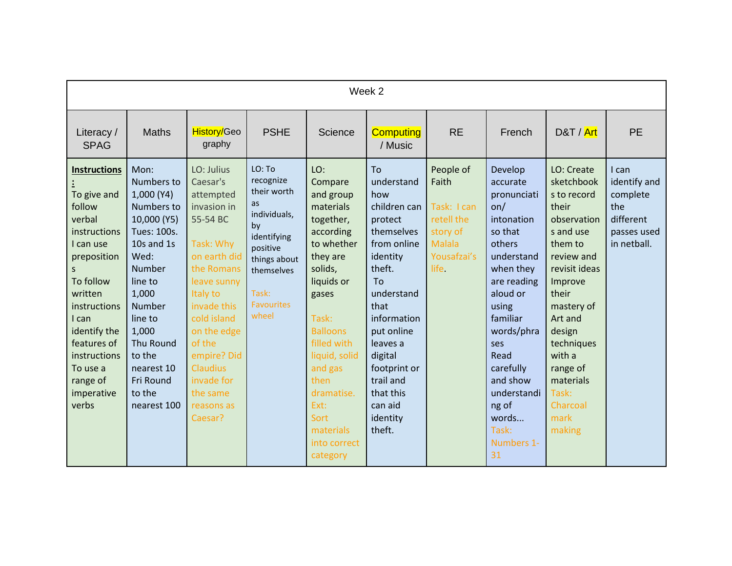|                                                                                                                                                                                                                                                     | Week 2                                                                                                                                                                                                                                                  |                                                                                                                                                                                                                                                                                  |                                                                                                                                                                |                                                                                                                                                                                                                                                                                      |                                                                                                                                                                                                                                                                  |                                                                                                      |                                                                                                                                                                                                                                                                             |                                                                                                                                                                                                                                                                       |                                                                                     |  |  |  |  |
|-----------------------------------------------------------------------------------------------------------------------------------------------------------------------------------------------------------------------------------------------------|---------------------------------------------------------------------------------------------------------------------------------------------------------------------------------------------------------------------------------------------------------|----------------------------------------------------------------------------------------------------------------------------------------------------------------------------------------------------------------------------------------------------------------------------------|----------------------------------------------------------------------------------------------------------------------------------------------------------------|--------------------------------------------------------------------------------------------------------------------------------------------------------------------------------------------------------------------------------------------------------------------------------------|------------------------------------------------------------------------------------------------------------------------------------------------------------------------------------------------------------------------------------------------------------------|------------------------------------------------------------------------------------------------------|-----------------------------------------------------------------------------------------------------------------------------------------------------------------------------------------------------------------------------------------------------------------------------|-----------------------------------------------------------------------------------------------------------------------------------------------------------------------------------------------------------------------------------------------------------------------|-------------------------------------------------------------------------------------|--|--|--|--|
| Literacy /<br><b>SPAG</b>                                                                                                                                                                                                                           | <b>Maths</b>                                                                                                                                                                                                                                            | History/Geo<br>graphy                                                                                                                                                                                                                                                            | <b>PSHE</b>                                                                                                                                                    | Science                                                                                                                                                                                                                                                                              | <b>Computing</b><br>/ Music                                                                                                                                                                                                                                      | <b>RE</b>                                                                                            | French                                                                                                                                                                                                                                                                      | <b>D&amp;T</b> / <b>Art</b>                                                                                                                                                                                                                                           | <b>PE</b>                                                                           |  |  |  |  |
| <b>Instructions</b><br>To give and<br>follow<br>verbal<br>instructions<br>I can use<br>preposition<br>To follow<br>written<br>instructions<br>$l$ can<br>identify the<br>features of<br>instructions<br>To use a<br>range of<br>imperative<br>verbs | Mon:<br>Numbers to<br>1,000 (Y4)<br>Numbers to<br>10,000 (Y5)<br>Tues: 100s.<br>10s and 1s<br>Wed:<br><b>Number</b><br>line to<br>1,000<br><b>Number</b><br>line to<br>1,000<br>Thu Round<br>to the<br>nearest 10<br>Fri Round<br>to the<br>nearest 100 | LO: Julius<br>Caesar's<br>attempted<br>invasion in<br>55-54 BC<br>Task: Why<br>on earth did<br>the Romans<br>leave sunny<br>Italy to<br>invade this<br>cold island<br>on the edge<br>of the<br>empire? Did<br><b>Claudius</b><br>invade for<br>the same<br>reasons as<br>Caesar? | LO: To<br>recognize<br>their worth<br><b>as</b><br>individuals,<br>by<br>identifying<br>positive<br>things about<br>themselves<br>Task:<br>Favourites<br>wheel | LO:<br>Compare<br>and group<br>materials<br>together,<br>according<br>to whether<br>they are<br>solids,<br>liquids or<br>gases<br>Task:<br><b>Balloons</b><br>filled with<br>liquid, solid<br>and gas<br>then<br>dramatise.<br>Ext:<br>Sort<br>materials<br>into correct<br>category | To<br>understand<br>how<br>children can<br>protect<br>themselves<br>from online<br>identity<br>theft.<br>To<br>understand<br>that<br>information<br>put online<br>leaves a<br>digital<br>footprint or<br>trail and<br>that this<br>can aid<br>identity<br>theft. | People of<br>Faith<br>Task: I can<br>retell the<br>story of<br><b>Malala</b><br>Yousafzai's<br>life. | Develop<br>accurate<br>pronunciati<br>on/<br>intonation<br>so that<br>others<br>understand<br>when they<br>are reading<br>aloud or<br>using<br>familiar<br>words/phra<br>ses<br>Read<br>carefully<br>and show<br>understandi<br>ng of<br>words<br>Task:<br>Numbers 1-<br>31 | LO: Create<br>sketchbook<br>s to record<br>their<br>observation<br>s and use<br>them to<br>review and<br>revisit ideas<br>Improve<br>their<br>mastery of<br>Art and<br>design<br>techniques<br>with a<br>range of<br>materials<br>Task:<br>Charcoal<br>mark<br>making | I can<br>identify and<br>complete<br>the<br>different<br>passes used<br>in netball. |  |  |  |  |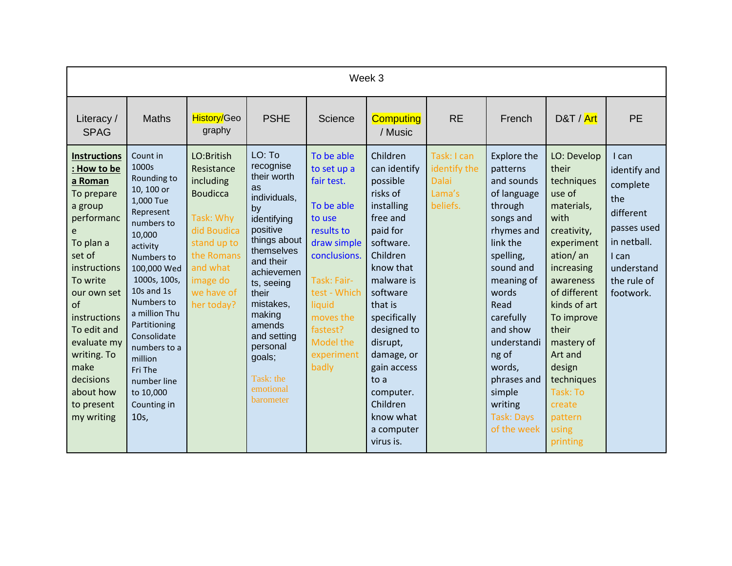|                                                                                                                                                                                                                                                                                              | Week 3                                                                                                                                                                                                                                                                                                                             |                                                                                                                                                                       |                                                                                                                                                                                                                                                                                               |                                                                                                                                                                                                                    |                                                                                                                                                                                                                                                                                                                    |                                                                   |                                                                                                                                                                                                                                                                                                           |                                                                                                                                                                                                                                                                                                      |                                                                                                                                          |  |  |  |  |
|----------------------------------------------------------------------------------------------------------------------------------------------------------------------------------------------------------------------------------------------------------------------------------------------|------------------------------------------------------------------------------------------------------------------------------------------------------------------------------------------------------------------------------------------------------------------------------------------------------------------------------------|-----------------------------------------------------------------------------------------------------------------------------------------------------------------------|-----------------------------------------------------------------------------------------------------------------------------------------------------------------------------------------------------------------------------------------------------------------------------------------------|--------------------------------------------------------------------------------------------------------------------------------------------------------------------------------------------------------------------|--------------------------------------------------------------------------------------------------------------------------------------------------------------------------------------------------------------------------------------------------------------------------------------------------------------------|-------------------------------------------------------------------|-----------------------------------------------------------------------------------------------------------------------------------------------------------------------------------------------------------------------------------------------------------------------------------------------------------|------------------------------------------------------------------------------------------------------------------------------------------------------------------------------------------------------------------------------------------------------------------------------------------------------|------------------------------------------------------------------------------------------------------------------------------------------|--|--|--|--|
| Literacy /<br><b>SPAG</b>                                                                                                                                                                                                                                                                    | <b>Maths</b>                                                                                                                                                                                                                                                                                                                       | History/Geo<br>graphy                                                                                                                                                 | <b>PSHE</b>                                                                                                                                                                                                                                                                                   | Science                                                                                                                                                                                                            | <b>Computing</b><br>/ Music                                                                                                                                                                                                                                                                                        | <b>RE</b>                                                         | French                                                                                                                                                                                                                                                                                                    | D&T / Art                                                                                                                                                                                                                                                                                            | <b>PE</b>                                                                                                                                |  |  |  |  |
| <b>Instructions</b><br>: How to be<br>a Roman<br>To prepare<br>a group<br>performanc<br>e<br>To plan a<br>set of<br>instructions<br>To write<br>our own set<br>of<br>instructions<br>To edit and<br>evaluate my<br>writing. To<br>make<br>decisions<br>about how<br>to present<br>my writing | Count in<br>1000s<br>Rounding to<br>10, 100 or<br>1,000 Tue<br>Represent<br>numbers to<br>10,000<br>activity<br>Numbers to<br>100,000 Wed<br>1000s, 100s,<br>$10s$ and $1s$<br>Numbers to<br>a million Thu<br>Partitioning<br>Consolidate<br>numbers to a<br>million<br>Fri The<br>number line<br>to 10,000<br>Counting in<br>10s, | LO:British<br>Resistance<br>including<br><b>Boudicca</b><br>Task: Why<br>did Boudica<br>stand up to<br>the Romans<br>and what<br>image do<br>we have of<br>her today? | LO: To<br>recognise<br>their worth<br><b>as</b><br>individuals,<br>by<br>identifying<br>positive<br>things about<br>themselves<br>and their<br>achievemen<br>ts, seeing<br>their<br>mistakes,<br>making<br>amends<br>and setting<br>personal<br>goals;<br>Task: the<br>emotional<br>barometer | To be able<br>to set up a<br>fair test.<br>To be able<br>to use<br>results to<br>draw simple<br>conclusions.<br>Task: Fair-<br>test - Which<br>liquid<br>moves the<br>fastest?<br>Model the<br>experiment<br>badly | Children<br>can identify<br>possible<br>risks of<br>installing<br>free and<br>paid for<br>software.<br>Children<br>know that<br>malware is<br>software<br>that is<br>specifically<br>designed to<br>disrupt,<br>damage, or<br>gain access<br>to a<br>computer.<br>Children<br>know what<br>a computer<br>virus is. | Task: I can<br>identify the<br><b>Dalai</b><br>Lama's<br>beliefs. | <b>Explore the</b><br>patterns<br>and sounds<br>of language<br>through<br>songs and<br>rhymes and<br>link the<br>spelling,<br>sound and<br>meaning of<br>words<br>Read<br>carefully<br>and show<br>understandi<br>ng of<br>words,<br>phrases and<br>simple<br>writing<br><b>Task: Days</b><br>of the week | LO: Develop<br>their<br>techniques<br>use of<br>materials,<br>with<br>creativity,<br>experiment<br>ation/an<br>increasing<br>awareness<br>of different<br>kinds of art<br>To improve<br>their<br>mastery of<br>Art and<br>design<br>techniques<br>Task: To<br>create<br>pattern<br>using<br>printing | I can<br>identify and<br>complete<br>the<br>different<br>passes used<br>in netball.<br>$l$ can<br>understand<br>the rule of<br>footwork. |  |  |  |  |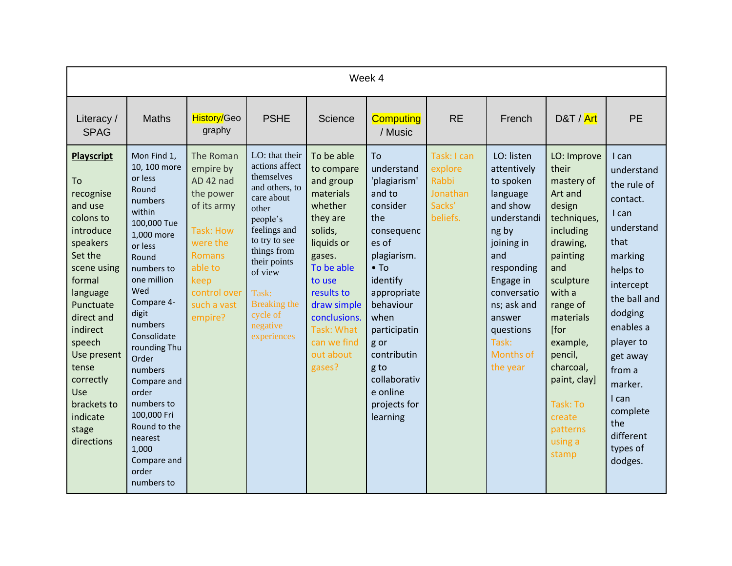|                                                                                                                                                                                                                                                                                      |                                                                                                                                                                                                                                                                                                                                                                               |                                                                                                                                                                               |                                                                                                                                                                                                                                                |                                                                                                                                                                                                                                       | Week 4                                                                                                                                                                                                                                                                     |                                                                          |                                                                                                                                                                                                                               |                                                                                                                                                                                                                                                                                      |                                                                                                                                                                                                                                                                         |
|--------------------------------------------------------------------------------------------------------------------------------------------------------------------------------------------------------------------------------------------------------------------------------------|-------------------------------------------------------------------------------------------------------------------------------------------------------------------------------------------------------------------------------------------------------------------------------------------------------------------------------------------------------------------------------|-------------------------------------------------------------------------------------------------------------------------------------------------------------------------------|------------------------------------------------------------------------------------------------------------------------------------------------------------------------------------------------------------------------------------------------|---------------------------------------------------------------------------------------------------------------------------------------------------------------------------------------------------------------------------------------|----------------------------------------------------------------------------------------------------------------------------------------------------------------------------------------------------------------------------------------------------------------------------|--------------------------------------------------------------------------|-------------------------------------------------------------------------------------------------------------------------------------------------------------------------------------------------------------------------------|--------------------------------------------------------------------------------------------------------------------------------------------------------------------------------------------------------------------------------------------------------------------------------------|-------------------------------------------------------------------------------------------------------------------------------------------------------------------------------------------------------------------------------------------------------------------------|
| Literacy /<br><b>SPAG</b>                                                                                                                                                                                                                                                            | <b>Maths</b>                                                                                                                                                                                                                                                                                                                                                                  | History/Geo<br>graphy                                                                                                                                                         | <b>PSHE</b>                                                                                                                                                                                                                                    | Science                                                                                                                                                                                                                               | <b>Computing</b><br>/ Music                                                                                                                                                                                                                                                | <b>RE</b>                                                                | French                                                                                                                                                                                                                        | D&T / Art                                                                                                                                                                                                                                                                            | <b>PE</b>                                                                                                                                                                                                                                                               |
| <b>Playscript</b><br>To<br>recognise<br>and use<br>colons to<br>introduce<br>speakers<br>Set the<br>scene using<br>formal<br>language<br>Punctuate<br>direct and<br>indirect<br>speech<br>Use present<br>tense<br>correctly<br>Use<br>brackets to<br>indicate<br>stage<br>directions | Mon Find 1,<br>10, 100 more<br>or less<br>Round<br>numbers<br>within<br>100,000 Tue<br>1,000 more<br>or less<br>Round<br>numbers to<br>one million<br>Wed<br>Compare 4-<br>digit<br>numbers<br>Consolidate<br>rounding Thu<br>Order<br>numbers<br>Compare and<br>order<br>numbers to<br>100,000 Fri<br>Round to the<br>nearest<br>1,000<br>Compare and<br>order<br>numbers to | The Roman<br>empire by<br>AD 42 nad<br>the power<br>of its army<br><b>Task: How</b><br>were the<br><b>Romans</b><br>able to<br>keep<br>control over<br>such a vast<br>empire? | LO: that their<br>actions affect<br>themselves<br>and others, to<br>care about<br>other<br>people's<br>feelings and<br>to try to see<br>things from<br>their points<br>of view<br>Task:<br>Breaking the<br>cycle of<br>negative<br>experiences | To be able<br>to compare<br>and group<br>materials<br>whether<br>they are<br>solids,<br>liquids or<br>gases.<br>To be able<br>to use<br>results to<br>draw simple<br>conclusions.<br>Task: What<br>can we find<br>out about<br>gases? | Tο<br>understand<br>'plagiarism'<br>and to<br>consider<br>the<br>consequenc<br>es of<br>plagiarism.<br>$\bullet$ To<br>identify<br>appropriate<br>behaviour<br>when<br>participatin<br>g or<br>contributin<br>g to<br>collaborativ<br>e online<br>projects for<br>learning | Task: I can<br>explore<br>Rabbi<br><b>Jonathan</b><br>Sacks'<br>beliefs. | LO: listen<br>attentively<br>to spoken<br>language<br>and show<br>understandi<br>ng by<br>joining in<br>and<br>responding<br>Engage in<br>conversatio<br>ns; ask and<br>answer<br>questions<br>Task:<br>Months of<br>the year | LO: Improve<br>their<br>mastery of<br>Art and<br>design<br>techniques,<br>including<br>drawing,<br>painting<br>and<br>sculpture<br>with a<br>range of<br>materials<br>[for<br>example,<br>pencil,<br>charcoal,<br>paint, clay]<br>Task: To<br>create<br>patterns<br>using a<br>stamp | I can<br>understand<br>the rule of<br>contact.<br>I can<br>understand<br>that<br>marking<br>helps to<br>intercept<br>the ball and<br>dodging<br>enables a<br>player to<br>get away<br>from a<br>marker.<br>I can<br>complete<br>the<br>different<br>types of<br>dodges. |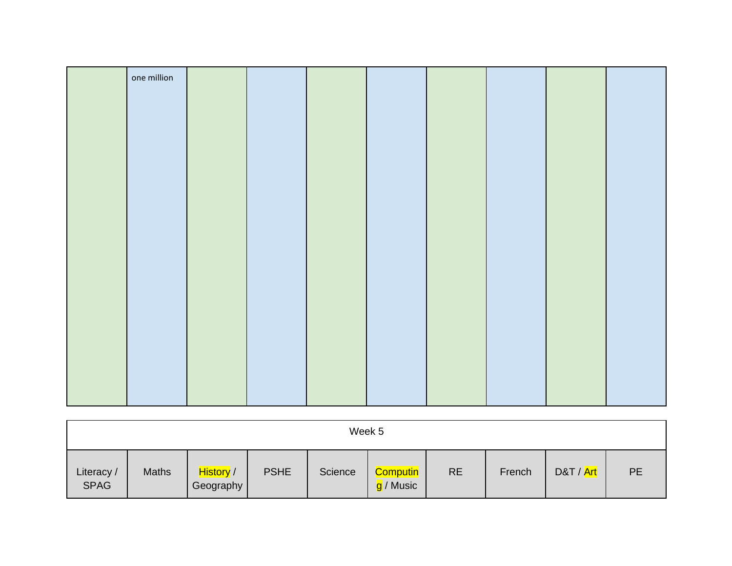| one million |  |  |  |  |
|-------------|--|--|--|--|
|             |  |  |  |  |
|             |  |  |  |  |
|             |  |  |  |  |
|             |  |  |  |  |
|             |  |  |  |  |
|             |  |  |  |  |
|             |  |  |  |  |
|             |  |  |  |  |
|             |  |  |  |  |
|             |  |  |  |  |
|             |  |  |  |  |
|             |  |  |  |  |
|             |  |  |  |  |

|                           | Week 5 |                               |             |         |                              |           |        |           |    |  |  |  |
|---------------------------|--------|-------------------------------|-------------|---------|------------------------------|-----------|--------|-----------|----|--|--|--|
| Literacy /<br><b>SPAG</b> | Maths  | <b>History</b> /<br>Geography | <b>PSHE</b> | Science | <b>Computin</b><br>g / Music | <b>RE</b> | French | D&T / Art | PE |  |  |  |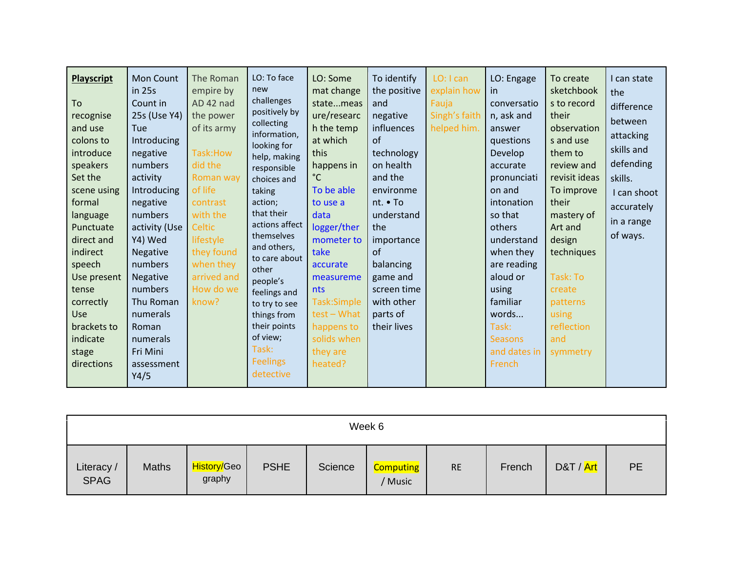| <b>Playscript</b><br>To<br>recognise<br>and use<br>colons to<br>introduce<br>speakers<br>Set the<br>scene using<br>formal<br>language<br>Punctuate<br>direct and<br>indirect<br>speech<br>Use present<br>tense<br>correctly<br>Use<br>brackets to<br>indicate<br>stage<br>directions | <b>Mon Count</b><br>in 25s<br>Count in<br>25s (Use Y4)<br>Tue<br>Introducing<br>negative<br>numbers<br>activity<br>Introducing<br>negative<br>numbers<br>activity (Use<br>Y4) Wed<br>Negative<br>numbers<br>Negative<br>numbers<br>Thu Roman<br>numerals<br>Roman<br>numerals<br>Fri Mini<br>assessment<br>Y4/5 | The Roman<br>empire by<br>AD 42 nad<br>the power<br>of its army<br>Task: How<br>did the<br><b>Roman way</b><br>of life<br>contrast<br>with the<br><b>Celtic</b><br>lifestyle<br>they found<br>when they<br>arrived and<br>How do we<br>know? | LO: To face<br>new<br>challenges<br>positively by<br>collecting<br>information,<br>looking for<br>help, making<br>responsible<br>choices and<br>taking<br>action;<br>that their<br>actions affect<br>themselves<br>and others,<br>to care about<br>other<br>people's<br>feelings and<br>to try to see<br>things from<br>their points<br>of view;<br>Task:<br><b>Feelings</b><br>detective | LO: Some<br>mat change<br>statemeas<br>ure/researc<br>h the temp<br>at which<br>this<br>happens in<br>$^{\circ}$ C<br>To be able<br>to use a<br>data<br>logger/ther<br>mometer to<br>take<br>accurate<br>measureme<br>nts<br>Task:Simple<br>$test - What$<br>happens to<br>solids when<br>they are<br>heated? | To identify<br>the positive<br>and<br>negative<br><i>influences</i><br>$\alpha$ f<br>technology<br>on health<br>and the<br>environme<br>nt. • To<br>understand<br>the<br>importance<br>of<br>balancing<br>game and<br>screen time<br>with other<br>parts of<br>their lives | LO: I can<br>explain how<br>Fauja<br>Singh's faith<br>helped him. | LO: Engage<br>in<br>conversatio<br>n, ask and<br>answer<br>questions<br>Develop<br>accurate<br>pronunciati<br>on and<br>intonation<br>so that<br>others<br>understand<br>when they<br>are reading<br>aloud or<br>using<br>familiar<br>words<br>Task:<br><b>Seasons</b><br>and dates in<br>French | To create<br>sketchbook<br>s to record<br>their<br>observation<br>s and use<br>them to<br>review and<br>revisit ideas<br>To improve<br>their<br>mastery of<br>Art and<br>design<br>techniques<br>Task: To<br>create<br>patterns<br>using<br>reflection<br>and<br>symmetry | I can state<br>the<br>difference<br>between<br>attacking<br>skills and<br>defending<br>skills.<br>I can shoot<br>accurately<br>in a range<br>of ways. |
|--------------------------------------------------------------------------------------------------------------------------------------------------------------------------------------------------------------------------------------------------------------------------------------|-----------------------------------------------------------------------------------------------------------------------------------------------------------------------------------------------------------------------------------------------------------------------------------------------------------------|----------------------------------------------------------------------------------------------------------------------------------------------------------------------------------------------------------------------------------------------|-------------------------------------------------------------------------------------------------------------------------------------------------------------------------------------------------------------------------------------------------------------------------------------------------------------------------------------------------------------------------------------------|---------------------------------------------------------------------------------------------------------------------------------------------------------------------------------------------------------------------------------------------------------------------------------------------------------------|----------------------------------------------------------------------------------------------------------------------------------------------------------------------------------------------------------------------------------------------------------------------------|-------------------------------------------------------------------|--------------------------------------------------------------------------------------------------------------------------------------------------------------------------------------------------------------------------------------------------------------------------------------------------|---------------------------------------------------------------------------------------------------------------------------------------------------------------------------------------------------------------------------------------------------------------------------|-------------------------------------------------------------------------------------------------------------------------------------------------------|
|--------------------------------------------------------------------------------------------------------------------------------------------------------------------------------------------------------------------------------------------------------------------------------------|-----------------------------------------------------------------------------------------------------------------------------------------------------------------------------------------------------------------------------------------------------------------------------------------------------------------|----------------------------------------------------------------------------------------------------------------------------------------------------------------------------------------------------------------------------------------------|-------------------------------------------------------------------------------------------------------------------------------------------------------------------------------------------------------------------------------------------------------------------------------------------------------------------------------------------------------------------------------------------|---------------------------------------------------------------------------------------------------------------------------------------------------------------------------------------------------------------------------------------------------------------------------------------------------------------|----------------------------------------------------------------------------------------------------------------------------------------------------------------------------------------------------------------------------------------------------------------------------|-------------------------------------------------------------------|--------------------------------------------------------------------------------------------------------------------------------------------------------------------------------------------------------------------------------------------------------------------------------------------------|---------------------------------------------------------------------------------------------------------------------------------------------------------------------------------------------------------------------------------------------------------------------------|-------------------------------------------------------------------------------------------------------------------------------------------------------|

|                           | Week 6       |                       |             |         |                             |           |        |           |    |  |  |
|---------------------------|--------------|-----------------------|-------------|---------|-----------------------------|-----------|--------|-----------|----|--|--|
| Literacy /<br><b>SPAG</b> | <b>Maths</b> | History/Geo<br>graphy | <b>PSHE</b> | Science | <b>Computing</b><br>/ Music | <b>RE</b> | French | D&T / Art | PE |  |  |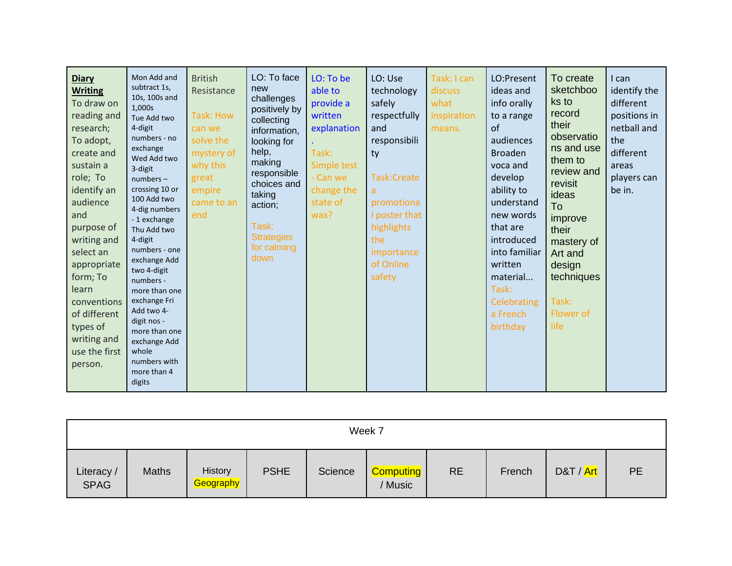| <b>Diary</b><br><b>Writing</b><br>To draw on<br>reading and<br>research;<br>To adopt,<br>create and<br>sustain a<br>role; To<br>identify an<br>audience<br>and<br>purpose of<br>writing and<br>select an<br>appropriate<br>form; To<br>learn<br>conventions<br>of different<br>types of<br>writing and<br>use the first<br>person. | Mon Add and<br>subtract 1s,<br>10s, 100s and<br>1,000s<br>Tue Add two<br>4-digit<br>numbers - no<br>exchange<br>Wed Add two<br>3-digit<br>$numbers -$<br>crossing 10 or<br>100 Add two<br>4-dig numbers<br>- 1 exchange<br>Thu Add two<br>4-digit<br>numbers - one<br>exchange Add<br>two 4-digit<br>numbers -<br>more than one<br>exchange Fri<br>Add two 4-<br>digit nos -<br>more than one<br>exchange Add<br>whole<br>numbers with<br>more than 4<br>digits | <b>British</b><br>Resistance<br>Task: How<br>can we<br>solve the<br>mystery of<br>why this<br>great<br>empire<br>came to an<br>end | LO: To face<br>new<br>challenges<br>positively by<br>collecting<br>information,<br>looking for<br>help,<br>making<br>responsible<br>choices and<br>taking<br>action;<br>Task:<br><b>Strategies</b><br>for calming<br>down | LO: To be<br>able to<br>provide a<br>written<br>explanation<br>Task:<br>Simple test<br>- Can we<br>change the<br>state of<br>wax? | LO: Use<br>technology<br>safely<br>respectfully<br>and<br>responsibili<br>ty<br>Task:Create<br>a<br>promotiona<br>I poster that<br>highlights<br>the<br>importance<br>of Online<br>safety | Task: I can<br>discuss<br>what<br>inspiration<br>means. | LO:Present<br>ideas and<br>info orally<br>to a range<br>of<br>audiences<br><b>Broaden</b><br>voca and<br>develop<br>ability to<br>understand<br>new words<br>that are<br>introduced<br>into familiar<br>written<br>material<br>Task:<br>Celebrating<br>a French<br>birthday | To create<br>sketchboo<br>ks to<br>record<br>their<br>observatio<br>ns and use<br>them to<br>review and<br>revisit<br>ideas<br>To<br>improve<br>their<br>mastery of<br>Art and<br>design<br>techniques<br>Task:<br>Flower of<br>life | $l$ can<br>identify the<br>different<br>positions in<br>netball and<br>the<br>different<br>areas<br>players can<br>be in. |
|------------------------------------------------------------------------------------------------------------------------------------------------------------------------------------------------------------------------------------------------------------------------------------------------------------------------------------|-----------------------------------------------------------------------------------------------------------------------------------------------------------------------------------------------------------------------------------------------------------------------------------------------------------------------------------------------------------------------------------------------------------------------------------------------------------------|------------------------------------------------------------------------------------------------------------------------------------|---------------------------------------------------------------------------------------------------------------------------------------------------------------------------------------------------------------------------|-----------------------------------------------------------------------------------------------------------------------------------|-------------------------------------------------------------------------------------------------------------------------------------------------------------------------------------------|---------------------------------------------------------|-----------------------------------------------------------------------------------------------------------------------------------------------------------------------------------------------------------------------------------------------------------------------------|--------------------------------------------------------------------------------------------------------------------------------------------------------------------------------------------------------------------------------------|---------------------------------------------------------------------------------------------------------------------------|
|------------------------------------------------------------------------------------------------------------------------------------------------------------------------------------------------------------------------------------------------------------------------------------------------------------------------------------|-----------------------------------------------------------------------------------------------------------------------------------------------------------------------------------------------------------------------------------------------------------------------------------------------------------------------------------------------------------------------------------------------------------------------------------------------------------------|------------------------------------------------------------------------------------------------------------------------------------|---------------------------------------------------------------------------------------------------------------------------------------------------------------------------------------------------------------------------|-----------------------------------------------------------------------------------------------------------------------------------|-------------------------------------------------------------------------------------------------------------------------------------------------------------------------------------------|---------------------------------------------------------|-----------------------------------------------------------------------------------------------------------------------------------------------------------------------------------------------------------------------------------------------------------------------------|--------------------------------------------------------------------------------------------------------------------------------------------------------------------------------------------------------------------------------------|---------------------------------------------------------------------------------------------------------------------------|

|                           | Week 7       |                                   |             |         |                             |           |        |           |    |  |  |  |
|---------------------------|--------------|-----------------------------------|-------------|---------|-----------------------------|-----------|--------|-----------|----|--|--|--|
| Literacy /<br><b>SPAG</b> | <b>Maths</b> | History<br><mark>Geography</mark> | <b>PSHE</b> | Science | <b>Computing</b><br>' Music | <b>RE</b> | French | D&T / Art | PE |  |  |  |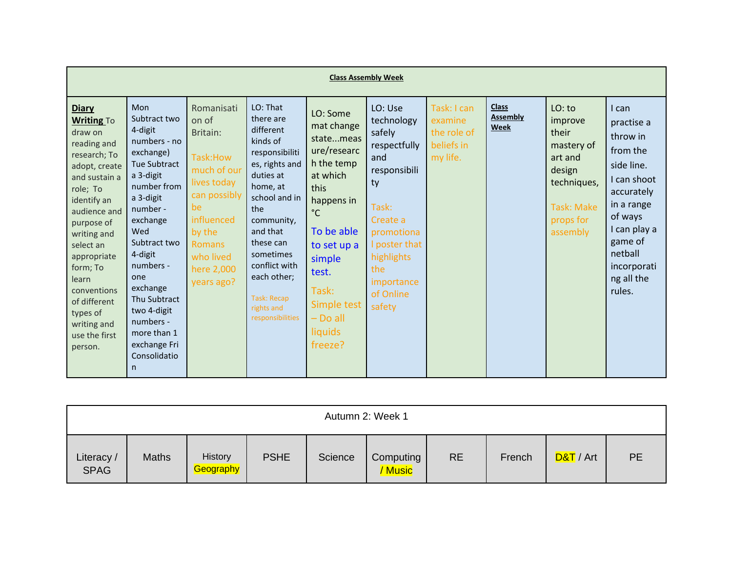|                                                                                                                                                                                                                                                                                                                              | <b>Class Assembly Week</b>                                                                                                                                                                                                                                                                                             |                                                                                                                                                                                           |                                                                                                                                                                                                                                                                                 |                                                                                                                                                                                                                              |                                                                                                                                                                                            |                                                                 |                                                |                                                                                                                              |                                                                                                                                                                                              |  |  |  |
|------------------------------------------------------------------------------------------------------------------------------------------------------------------------------------------------------------------------------------------------------------------------------------------------------------------------------|------------------------------------------------------------------------------------------------------------------------------------------------------------------------------------------------------------------------------------------------------------------------------------------------------------------------|-------------------------------------------------------------------------------------------------------------------------------------------------------------------------------------------|---------------------------------------------------------------------------------------------------------------------------------------------------------------------------------------------------------------------------------------------------------------------------------|------------------------------------------------------------------------------------------------------------------------------------------------------------------------------------------------------------------------------|--------------------------------------------------------------------------------------------------------------------------------------------------------------------------------------------|-----------------------------------------------------------------|------------------------------------------------|------------------------------------------------------------------------------------------------------------------------------|----------------------------------------------------------------------------------------------------------------------------------------------------------------------------------------------|--|--|--|
| <b>Diary</b><br><b>Writing To</b><br>draw on<br>reading and<br>research; To<br>adopt, create<br>and sustain a<br>role; To<br>identify an<br>audience and<br>purpose of<br>writing and<br>select an<br>appropriate<br>form; To<br>learn<br>conventions<br>of different<br>types of<br>writing and<br>use the first<br>person. | Mon<br>Subtract two<br>4-digit<br>numbers - no<br>exchange)<br><b>Tue Subtract</b><br>a 3-digit<br>number from<br>a 3-digit<br>number -<br>exchange<br>Wed<br>Subtract two<br>4-digit<br>numbers -<br>one<br>exchange<br>Thu Subtract<br>two 4-digit<br>numbers -<br>more than 1<br>exchange Fri<br>Consolidatio<br>n. | Romanisati<br>on of<br>Britain:<br>Task: How<br>much of our<br>lives today<br>can possibly<br>be<br><b>influenced</b><br>by the<br><b>Romans</b><br>who lived<br>here 2,000<br>years ago? | LO: That<br>there are<br>different<br>kinds of<br>responsibiliti<br>es, rights and<br>duties at<br>home, at<br>school and in<br>the<br>community,<br>and that<br>these can<br>sometimes<br>conflict with<br>each other;<br><b>Task: Recap</b><br>rights and<br>responsibilities | LO: Some<br>mat change<br>statemeas<br>ure/researc<br>h the temp<br>at which<br>this<br>happens in<br>$^{\circ}$ C<br>To be able<br>to set up a<br>simple<br>test.<br>Task:<br>Simple test<br>- Do all<br>liquids<br>freeze? | LO: Use<br>technology<br>safely<br>respectfully<br>and<br>responsibili<br>ty<br>Task:<br>Create a<br>promotiona<br>I poster that<br>highlights<br>the<br>importance<br>of Online<br>safety | Task: I can<br>examine<br>the role of<br>beliefs in<br>my life. | <b>Class</b><br><b>Assembly</b><br><b>Week</b> | $LO:$ to<br>improve<br>their<br>mastery of<br>art and<br>design<br>techniques,<br><b>Task: Make</b><br>props for<br>assembly | I can<br>practise a<br>throw in<br>from the<br>side line.<br>I can shoot<br>accurately<br>in a range<br>of ways<br>I can play a<br>game of<br>netball<br>incorporati<br>ng all the<br>rules. |  |  |  |

|                           | Autumn 2: Week 1 |                      |             |         |                                   |           |        |           |           |  |  |  |
|---------------------------|------------------|----------------------|-------------|---------|-----------------------------------|-----------|--------|-----------|-----------|--|--|--|
| Literacy /<br><b>SPAG</b> | <b>Maths</b>     | History<br>Geography | <b>PSHE</b> | Science | Computing<br><mark>' Music</mark> | <b>RE</b> | French | D&T / Art | <b>PE</b> |  |  |  |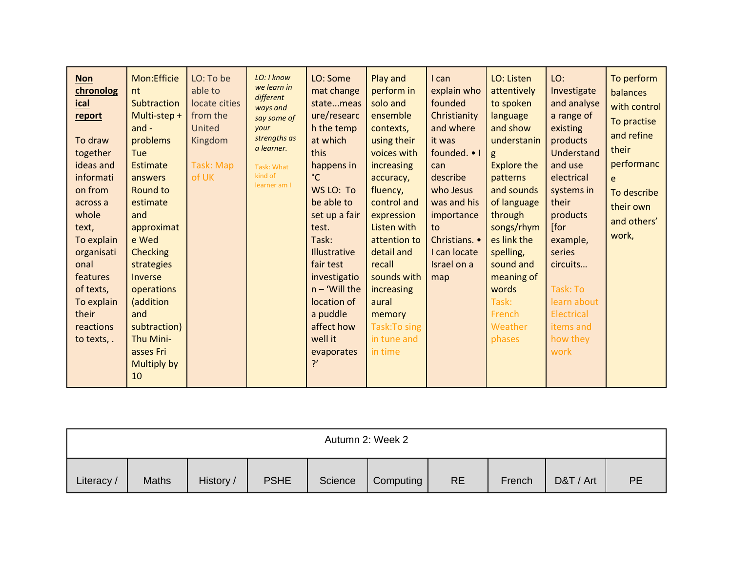| <b>Non</b><br>chronolog<br><b>ical</b><br>report<br>To draw<br>together<br>ideas and<br>informati<br>on from<br>across a<br>whole<br>text,<br>To explain<br>organisati<br>onal<br>features<br>of texts,<br>To explain<br>their<br>reactions<br>to texts,. | Mon:Efficie<br>nt<br>Subtraction<br>Multi-step +<br>$and -$<br>problems<br>Tue<br><b>Estimate</b><br>answers<br>Round to<br>estimate<br>and<br>approximat<br>e Wed<br><b>Checking</b><br>strategies<br>Inverse<br>operations<br>(addition<br>and<br>subtraction)<br><b>Thu Mini-</b><br>asses Fri<br>Multiply by<br>10 | LO: To be<br>able to<br>locate cities<br>from the<br>United<br>Kingdom<br>Task: Map<br>of UK | LO: I know<br>we learn in<br>different<br>ways and<br>say some of<br>your<br>strengths as<br>a learner.<br>Task: What<br>kind of<br>learner am I | LO: Some<br>mat change<br>statemeas<br>ure/researc<br>h the temp<br>at which<br>this<br>happens in<br>$^{\circ}$ C<br>WS LO: To<br>be able to<br>set up a fair<br>test.<br>Task:<br>Illustrative<br>fair test<br>investigatio<br>$n - 'Will$ the<br>location of<br>a puddle<br>affect how<br>well it<br>evaporates<br>? | Play and<br>perform in<br>solo and<br>ensemble<br>contexts,<br>using their<br>voices with<br>increasing<br>accuracy,<br>fluency,<br>control and<br>expression<br>Listen with<br>attention to<br>detail and<br>recall<br>sounds with<br>increasing<br>aural<br>memory<br>Task: To sing<br>in tune and<br>in time | I can<br>explain who<br>founded<br>Christianity<br>and where<br>it was<br>founded. • I<br>can<br>describe<br>who Jesus<br>was and his<br>importance<br>to<br>Christians. •<br>I can locate<br>Israel on a<br>map | LO: Listen<br>attentively<br>to spoken<br>language<br>and show<br>understanin<br>g<br><b>Explore the</b><br>patterns<br>and sounds<br>of language<br>through<br>songs/rhym<br>es link the<br>spelling,<br>sound and<br>meaning of<br>words<br>Task:<br>French<br>Weather<br>phases | LO:<br>Investigate<br>and analyse<br>a range of<br>existing<br>products<br>Understand<br>and use<br>electrical<br>systems in<br>their<br>products<br>[for<br>example,<br>series<br>circuits<br>Task: To<br>learn about<br>Electrical<br>items and<br>how they<br>work | To perform<br>balances<br>with control<br>To practise<br>and refine<br>their<br>performanc<br>e<br>To describe<br>their own<br>and others'<br>work, |
|-----------------------------------------------------------------------------------------------------------------------------------------------------------------------------------------------------------------------------------------------------------|------------------------------------------------------------------------------------------------------------------------------------------------------------------------------------------------------------------------------------------------------------------------------------------------------------------------|----------------------------------------------------------------------------------------------|--------------------------------------------------------------------------------------------------------------------------------------------------|-------------------------------------------------------------------------------------------------------------------------------------------------------------------------------------------------------------------------------------------------------------------------------------------------------------------------|-----------------------------------------------------------------------------------------------------------------------------------------------------------------------------------------------------------------------------------------------------------------------------------------------------------------|------------------------------------------------------------------------------------------------------------------------------------------------------------------------------------------------------------------|------------------------------------------------------------------------------------------------------------------------------------------------------------------------------------------------------------------------------------------------------------------------------------|-----------------------------------------------------------------------------------------------------------------------------------------------------------------------------------------------------------------------------------------------------------------------|-----------------------------------------------------------------------------------------------------------------------------------------------------|
|-----------------------------------------------------------------------------------------------------------------------------------------------------------------------------------------------------------------------------------------------------------|------------------------------------------------------------------------------------------------------------------------------------------------------------------------------------------------------------------------------------------------------------------------------------------------------------------------|----------------------------------------------------------------------------------------------|--------------------------------------------------------------------------------------------------------------------------------------------------|-------------------------------------------------------------------------------------------------------------------------------------------------------------------------------------------------------------------------------------------------------------------------------------------------------------------------|-----------------------------------------------------------------------------------------------------------------------------------------------------------------------------------------------------------------------------------------------------------------------------------------------------------------|------------------------------------------------------------------------------------------------------------------------------------------------------------------------------------------------------------------|------------------------------------------------------------------------------------------------------------------------------------------------------------------------------------------------------------------------------------------------------------------------------------|-----------------------------------------------------------------------------------------------------------------------------------------------------------------------------------------------------------------------------------------------------------------------|-----------------------------------------------------------------------------------------------------------------------------------------------------|

| Autumn 2: Week 2 |              |           |             |         |           |           |        |           |    |  |  |
|------------------|--------------|-----------|-------------|---------|-----------|-----------|--------|-----------|----|--|--|
| Literacy /       | <b>Maths</b> | History / | <b>PSHE</b> | Science | Computing | <b>RE</b> | French | D&T / Art | PE |  |  |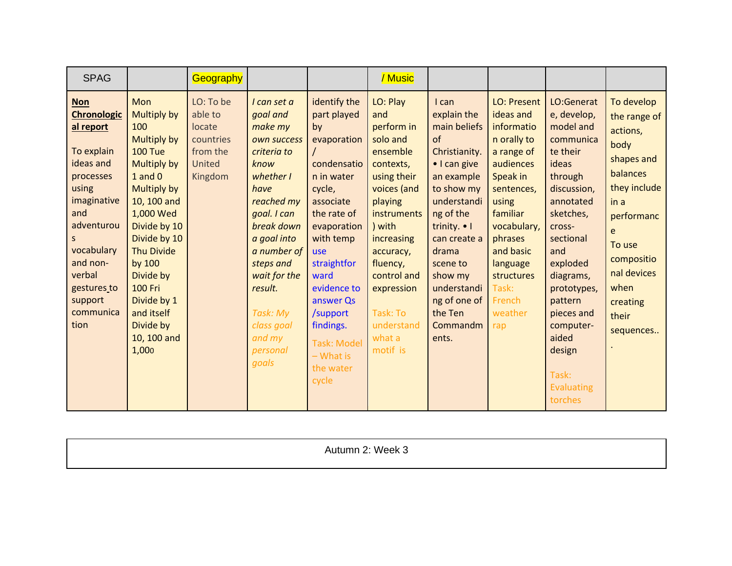| <b>SPAG</b>                                                                                                                                                                                                                 |                                                                                                                                                                                                                                                                                                                          | Geography                                                                    |                                                                                                                                                                                                                                                                         |                                                                                                                                                                                                                                                                                              | / Music                                                                                                                                                                                                                                                         |                                                                                                                                                                                                                                                                    |                                                                                                                                                                                                                                              |                                                                                                                                                                                                                                                                                                      |                                                                                                                                                                                                      |
|-----------------------------------------------------------------------------------------------------------------------------------------------------------------------------------------------------------------------------|--------------------------------------------------------------------------------------------------------------------------------------------------------------------------------------------------------------------------------------------------------------------------------------------------------------------------|------------------------------------------------------------------------------|-------------------------------------------------------------------------------------------------------------------------------------------------------------------------------------------------------------------------------------------------------------------------|----------------------------------------------------------------------------------------------------------------------------------------------------------------------------------------------------------------------------------------------------------------------------------------------|-----------------------------------------------------------------------------------------------------------------------------------------------------------------------------------------------------------------------------------------------------------------|--------------------------------------------------------------------------------------------------------------------------------------------------------------------------------------------------------------------------------------------------------------------|----------------------------------------------------------------------------------------------------------------------------------------------------------------------------------------------------------------------------------------------|------------------------------------------------------------------------------------------------------------------------------------------------------------------------------------------------------------------------------------------------------------------------------------------------------|------------------------------------------------------------------------------------------------------------------------------------------------------------------------------------------------------|
| <b>Non</b><br><b>Chronologic</b><br>al report<br>To explain<br>ideas and<br>processes<br>using<br>imaginative<br>and<br>adventurou<br>S.<br>vocabulary<br>and non-<br>verbal<br>gestures to<br>support<br>communica<br>tion | Mon<br><b>Multiply by</b><br>100<br><b>Multiply by</b><br><b>100 Tue</b><br>Multiply by<br>$1$ and $0$<br><b>Multiply by</b><br>10, 100 and<br>1,000 Wed<br>Divide by 10<br>Divide by 10<br><b>Thu Divide</b><br>by 100<br>Divide by<br><b>100 Fri</b><br>Divide by 1<br>and itself<br>Divide by<br>10, 100 and<br>1,000 | LO: To be<br>able to<br>locate<br>countries<br>from the<br>United<br>Kingdom | I can set a<br>goal and<br>make my<br>own success<br>criteria to<br>know<br>whether I<br>have<br>reached my<br>goal. I can<br>break down<br>a goal into<br>a number of<br>steps and<br>wait for the<br>result.<br>Task: My<br>class goal<br>and my<br>personal<br>goals | identify the<br>part played<br>by<br>evaporation<br>condensatio<br>n in water<br>cycle,<br>associate<br>the rate of<br>evaporation<br>with temp<br>use<br>straightfor<br>ward<br>evidence to<br>answer Qs<br>/support<br>findings.<br><b>Task: Model</b><br>$-What is$<br>the water<br>cycle | LO: Play<br>and<br>perform in<br>solo and<br>ensemble<br>contexts,<br>using their<br>voices (and<br>playing<br>instruments<br>) with<br>increasing<br>accuracy,<br>fluency,<br>control and<br>expression<br><b>Task: To</b><br>understand<br>what a<br>motif is | I can<br>explain the<br>main beliefs<br>of<br>Christianity.<br>• I can give<br>an example<br>to show my<br>understandi<br>ng of the<br>trinity. • I<br>can create a<br>drama<br>scene to<br>show my<br>understandi<br>ng of one of<br>the Ten<br>Commandm<br>ents. | <b>LO: Present</b><br>ideas and<br>informatio<br>n orally to<br>a range of<br>audiences<br>Speak in<br>sentences,<br>using<br>familiar<br>vocabulary,<br>phrases<br>and basic<br>language<br>structures<br>Task:<br>French<br>weather<br>rap | LO:Generat<br>e, develop,<br>model and<br>communica<br>te their<br>ideas<br>through<br>discussion,<br>annotated<br>sketches,<br>cross-<br>sectional<br>and<br>exploded<br>diagrams,<br>prototypes,<br>pattern<br>pieces and<br>computer-<br>aided<br>design<br>Task:<br><b>Evaluating</b><br>torches | To develop<br>the range of<br>actions,<br>body<br>shapes and<br>balances<br>they include<br>in a<br>performanc<br>e<br>To use<br>compositio<br>nal devices<br>when<br>creating<br>their<br>sequences |

Autumn 2: Week 3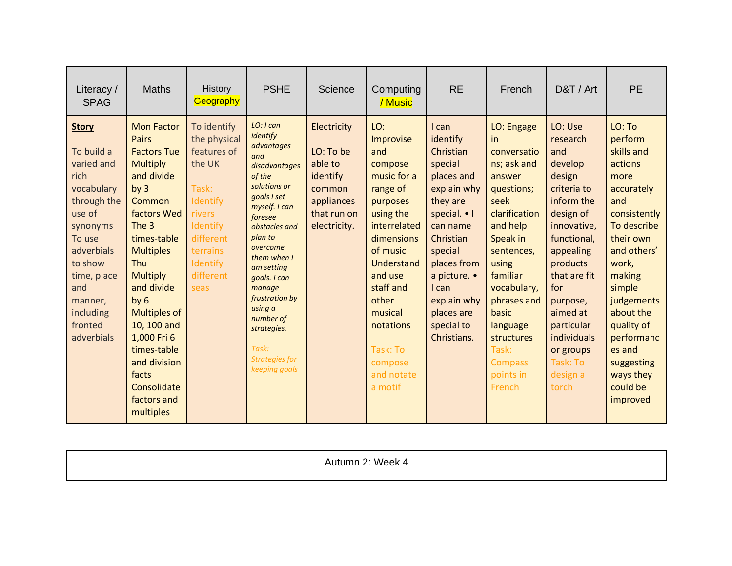| Literacy /<br><b>SPAG</b>                                                                                                                                                                                     | <b>Maths</b>                                                                                                                                                                                                                                                                                                                                                                        | History<br>Geography                                                                                                                                      | <b>PSHE</b>                                                                                                                                                                                                                                                                                                                                 | Science                                                                                                | Computing<br>/ Music                                                                                                                                                                                                                                    | <b>RE</b>                                                                                                                                                                                                                                | French                                                                                                                                                                                                                                                                         | D&T / Art                                                                                                                                                                                                                                                                  | PE                                                                                                                                                                                                                                                                                  |
|---------------------------------------------------------------------------------------------------------------------------------------------------------------------------------------------------------------|-------------------------------------------------------------------------------------------------------------------------------------------------------------------------------------------------------------------------------------------------------------------------------------------------------------------------------------------------------------------------------------|-----------------------------------------------------------------------------------------------------------------------------------------------------------|---------------------------------------------------------------------------------------------------------------------------------------------------------------------------------------------------------------------------------------------------------------------------------------------------------------------------------------------|--------------------------------------------------------------------------------------------------------|---------------------------------------------------------------------------------------------------------------------------------------------------------------------------------------------------------------------------------------------------------|------------------------------------------------------------------------------------------------------------------------------------------------------------------------------------------------------------------------------------------|--------------------------------------------------------------------------------------------------------------------------------------------------------------------------------------------------------------------------------------------------------------------------------|----------------------------------------------------------------------------------------------------------------------------------------------------------------------------------------------------------------------------------------------------------------------------|-------------------------------------------------------------------------------------------------------------------------------------------------------------------------------------------------------------------------------------------------------------------------------------|
| <b>Story</b><br>To build a<br>varied and<br>rich<br>vocabulary<br>through the<br>use of<br>synonyms<br>To use<br>adverbials<br>to show<br>time, place<br>and<br>manner,<br>including<br>fronted<br>adverbials | <b>Mon Factor</b><br><b>Pairs</b><br><b>Factors Tue</b><br><b>Multiply</b><br>and divide<br>by <sub>3</sub><br>Common<br>factors Wed<br>The 3<br>times-table<br><b>Multiples</b><br>Thu<br><b>Multiply</b><br>and divide<br>by <sub>6</sub><br><b>Multiples of</b><br>10, 100 and<br>1,000 Fri 6<br>times-table<br>and division<br>facts<br>Consolidate<br>factors and<br>multiples | To identify<br>the physical<br>features of<br>the UK<br>Task:<br>Identify<br>rivers<br>Identify<br>different<br>terrains<br>Identify<br>different<br>seas | LO: I can<br>identify<br>advantages<br>and<br>disadvantages<br>of the<br>solutions or<br>goals I set<br>myself. I can<br>foresee<br>obstacles and<br>plan to<br>overcome<br>them when I<br>am setting<br>goals. I can<br>manage<br>frustration by<br>using a<br>number of<br>strategies.<br>Task:<br><b>Strategies for</b><br>keeping goals | Electricity<br>LO: To be<br>able to<br>identify<br>common<br>appliances<br>that run on<br>electricity. | LO:<br>Improvise<br>and<br>compose<br>music for a<br>range of<br>purposes<br>using the<br>interrelated<br>dimensions<br>of music<br>Understand<br>and use<br>staff and<br>other<br>musical<br>notations<br>Task: To<br>compose<br>and notate<br>a motif | I can<br>identify<br>Christian<br>special<br>places and<br>explain why<br>they are<br>special. • I<br>can name<br>Christian<br>special<br>places from<br>a picture. •<br>I can<br>explain why<br>places are<br>special to<br>Christians. | LO: Engage<br>in.<br>conversatio<br>ns; ask and<br>answer<br>questions;<br>seek<br>clarification<br>and help<br>Speak in<br>sentences,<br>using<br>familiar<br>vocabulary,<br>phrases and<br>basic<br>language<br>structures<br>Task:<br><b>Compass</b><br>points in<br>French | LO: Use<br>research<br>and<br>develop<br>design<br>criteria to<br>inform the<br>design of<br>innovative,<br>functional,<br>appealing<br>products<br>that are fit<br>for<br>purpose,<br>aimed at<br>particular<br>individuals<br>or groups<br>Task: To<br>design a<br>torch | LO: To<br>perform<br>skills and<br>actions<br>more<br>accurately<br>and<br>consistently<br>To describe<br>their own<br>and others'<br>work,<br>making<br>simple<br>judgements<br>about the<br>quality of<br>performanc<br>es and<br>suggesting<br>ways they<br>could be<br>improved |

| $\cdots$ Wook $\prime$<br>$\cdots$<br>$\ldots$ $\sim$ |
|-------------------------------------------------------|
|                                                       |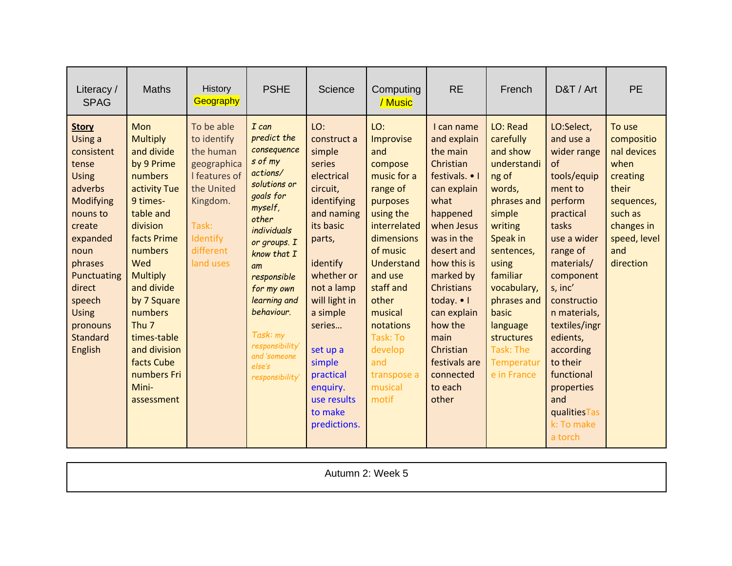| Literacy /<br><b>SPAG</b>                                                                                                                                                                                                                | <b>Maths</b>                                                                                                                                                                                                                                                                                                                 | History<br>Geography                                                                                                                            | <b>PSHE</b>                                                                                                                                                                                                                                                                                                   | Science                                                                                                                                                                                                                                                                                      | Computing<br>/ Music                                                                                                                                                                                                                                                            | <b>RE</b>                                                                                                                                                                                                                                                                                                         | French                                                                                                                                                                                                                                                                   | D&T / Art                                                                                                                                                                                                                                                                                                                                 | <b>PE</b>                                                                                                                                   |
|------------------------------------------------------------------------------------------------------------------------------------------------------------------------------------------------------------------------------------------|------------------------------------------------------------------------------------------------------------------------------------------------------------------------------------------------------------------------------------------------------------------------------------------------------------------------------|-------------------------------------------------------------------------------------------------------------------------------------------------|---------------------------------------------------------------------------------------------------------------------------------------------------------------------------------------------------------------------------------------------------------------------------------------------------------------|----------------------------------------------------------------------------------------------------------------------------------------------------------------------------------------------------------------------------------------------------------------------------------------------|---------------------------------------------------------------------------------------------------------------------------------------------------------------------------------------------------------------------------------------------------------------------------------|-------------------------------------------------------------------------------------------------------------------------------------------------------------------------------------------------------------------------------------------------------------------------------------------------------------------|--------------------------------------------------------------------------------------------------------------------------------------------------------------------------------------------------------------------------------------------------------------------------|-------------------------------------------------------------------------------------------------------------------------------------------------------------------------------------------------------------------------------------------------------------------------------------------------------------------------------------------|---------------------------------------------------------------------------------------------------------------------------------------------|
| <b>Story</b><br>Using a<br>consistent<br>tense<br><b>Using</b><br>adverbs<br>Modifying<br>nouns to<br>create<br>expanded<br>noun<br>phrases<br>Punctuating<br>direct<br>speech<br><b>Using</b><br>pronouns<br><b>Standard</b><br>English | <b>Mon</b><br><b>Multiply</b><br>and divide<br>by 9 Prime<br>numbers<br>activity Tue<br>9 times-<br>table and<br>division<br>facts Prime<br>numbers<br>Wed<br><b>Multiply</b><br>and divide<br>by 7 Square<br>numbers<br>Thu <sub>7</sub><br>times-table<br>and division<br>facts Cube<br>numbers Fri<br>Mini-<br>assessment | To be able<br>to identify<br>the human<br>geographica<br>I features of<br>the United<br>Kingdom.<br>Task:<br>Identify<br>different<br>land uses | I can<br>predict the<br>consequence<br>s of my<br>actions/<br>solutions or<br>goals for<br>myself,<br>other<br><i>individuals</i><br>or groups. I<br>know that I<br>am<br>responsible<br>for my own<br>learning and<br>behaviour.<br>Task: my<br>responsibility'<br>and 'someone<br>else's<br>responsibility' | LO:<br>construct a<br>simple<br>series<br>electrical<br>circuit,<br>identifying<br>and naming<br>its basic<br>parts,<br>identify<br>whether or<br>not a lamp<br>will light in<br>a simple<br>series<br>set up a<br>simple<br>practical<br>enquiry.<br>use results<br>to make<br>predictions. | LO:<br>Improvise<br>and<br>compose<br>music for a<br>range of<br>purposes<br>using the<br>interrelated<br>dimensions<br>of music<br><b>Understand</b><br>and use<br>staff and<br>other<br>musical<br>notations<br>Task: To<br>develop<br>and<br>transpose a<br>musical<br>motif | I can name<br>and explain<br>the main<br>Christian<br>festivals. • I<br>can explain<br>what<br>happened<br>when Jesus<br>was in the<br>desert and<br>how this is<br>marked by<br><b>Christians</b><br>today. • I<br>can explain<br>how the<br>main<br>Christian<br>festivals are<br>connected<br>to each<br>other | LO: Read<br>carefully<br>and show<br>understandi<br>ng of<br>words,<br>phrases and<br>simple<br>writing<br>Speak in<br>sentences,<br>using<br>familiar<br>vocabulary,<br>phrases and<br>basic<br>language<br><b>structures</b><br>Task: The<br>Temperatur<br>e in France | LO:Select,<br>and use a<br>wider range<br>of<br>tools/equip<br>ment to<br>perform<br>practical<br>tasks<br>use a wider<br>range of<br>materials/<br>component<br>s, inc'<br>constructio<br>n materials,<br>textiles/ingr<br>edients,<br>according<br>to their<br>functional<br>properties<br>and<br>qualitiesTas<br>k: To make<br>a torch | To use<br>compositio<br>nal devices<br>when<br>creating<br>their<br>sequences,<br>such as<br>changes in<br>speed, level<br>and<br>direction |

Autumn 2: Week 5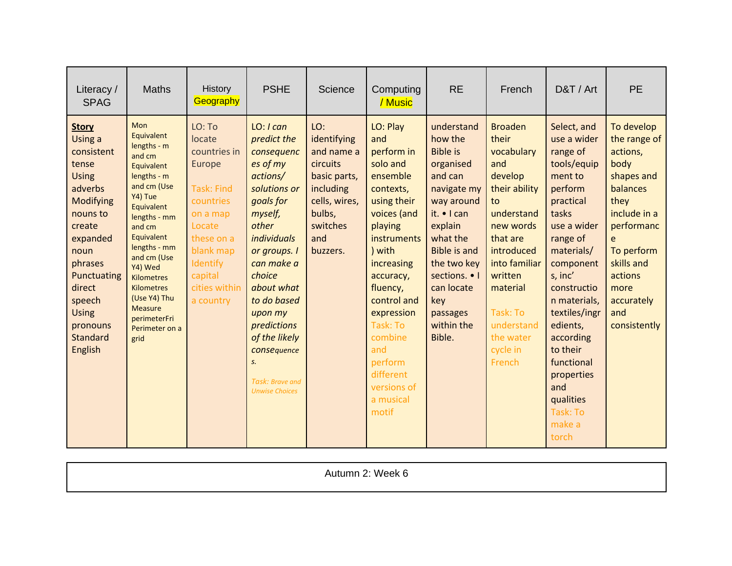| Literacy /<br><b>SPAG</b>                                                                                                                                                                                                         | <b>Maths</b>                                                                                                                                                                                                                                                                                                                   | History<br>Geography                                                                                                                                                               | <b>PSHE</b>                                                                                                                                                                                                                                                                                                     | Science                                                                                                                             | Computing<br>/ Music                                                                                                                                                                                                                                                                                              | <b>RE</b>                                                                                                                                                                                                                                           | French                                                                                                                                                                                                                                   | D&T / Art                                                                                                                                                                                                                                                                                                                              | <b>PE</b>                                                                                                                                                                                               |
|-----------------------------------------------------------------------------------------------------------------------------------------------------------------------------------------------------------------------------------|--------------------------------------------------------------------------------------------------------------------------------------------------------------------------------------------------------------------------------------------------------------------------------------------------------------------------------|------------------------------------------------------------------------------------------------------------------------------------------------------------------------------------|-----------------------------------------------------------------------------------------------------------------------------------------------------------------------------------------------------------------------------------------------------------------------------------------------------------------|-------------------------------------------------------------------------------------------------------------------------------------|-------------------------------------------------------------------------------------------------------------------------------------------------------------------------------------------------------------------------------------------------------------------------------------------------------------------|-----------------------------------------------------------------------------------------------------------------------------------------------------------------------------------------------------------------------------------------------------|------------------------------------------------------------------------------------------------------------------------------------------------------------------------------------------------------------------------------------------|----------------------------------------------------------------------------------------------------------------------------------------------------------------------------------------------------------------------------------------------------------------------------------------------------------------------------------------|---------------------------------------------------------------------------------------------------------------------------------------------------------------------------------------------------------|
| <b>Story</b><br>Using a<br>consistent<br>tense<br><b>Using</b><br>adverbs<br>Modifying<br>nouns to<br>create<br>expanded<br>noun<br>phrases<br>Punctuating<br>direct<br>speech<br><b>Using</b><br>pronouns<br>Standard<br>English | <b>Mon</b><br>Equivalent<br>lengths - m<br>and cm<br>Equivalent<br>lengths - m<br>and cm (Use<br>Y4) Tue<br>Equivalent<br>lengths - mm<br>and cm<br>Equivalent<br>lengths - mm<br>and cm (Use<br>Y4) Wed<br><b>Kilometres</b><br><b>Kilometres</b><br>(Use Y4) Thu<br><b>Measure</b><br>perimeterFri<br>Perimeter on a<br>grid | LO: To<br>locate<br>countries in<br>Europe<br><b>Task: Find</b><br>countries<br>on a map<br>Locate<br>these on a<br>blank map<br>Identify<br>capital<br>cities within<br>a country | LO: I can<br>predict the<br>consequenc<br>es of my<br>actions/<br>solutions or<br>goals for<br>myself,<br>other<br>individuals<br>or groups. I<br>can make a<br>choice<br>about what<br>to do based<br>upon my<br>predictions<br>of the likely<br>consequence<br>s.<br>Task: Brave and<br><b>Unwise Choices</b> | LO:<br>identifying<br>and name a<br>circuits<br>basic parts,<br>including<br>cells, wires,<br>bulbs,<br>switches<br>and<br>buzzers. | LO: Play<br>and<br>perform in<br>solo and<br>ensemble<br>contexts,<br>using their<br>voices (and<br>playing<br><b>instruments</b><br>) with<br>increasing<br>accuracy,<br>fluency,<br>control and<br>expression<br><b>Task: To</b><br>combine<br>and<br>perform<br>different<br>versions of<br>a musical<br>motif | understand<br>how the<br><b>Bible is</b><br>organised<br>and can<br>navigate my<br>way around<br>it. • I can<br>explain<br>what the<br><b>Bible is and</b><br>the two key<br>sections. • I<br>can locate<br>key<br>passages<br>within the<br>Bible. | <b>Broaden</b><br>their<br>vocabulary<br>and<br>develop<br>their ability<br>to<br>understand<br>new words<br>that are<br>introduced<br>into familiar<br>written<br>material<br>Task: To<br>understand<br>the water<br>cycle in<br>French | Select, and<br>use a wider<br>range of<br>tools/equip<br>ment to<br>perform<br>practical<br>tasks<br>use a wider<br>range of<br>materials/<br>component<br>s, inc'<br>constructio<br>n materials,<br>textiles/ingr<br>edients,<br>according<br>to their<br>functional<br>properties<br>and<br>qualities<br>Task: To<br>make a<br>torch | To develop<br>the range of<br>actions,<br>body<br>shapes and<br>balances<br>they<br>include in a<br>performanc<br>e<br>To perform<br>skills and<br>actions<br>more<br>accurately<br>and<br>consistently |

Autumn 2: Week 6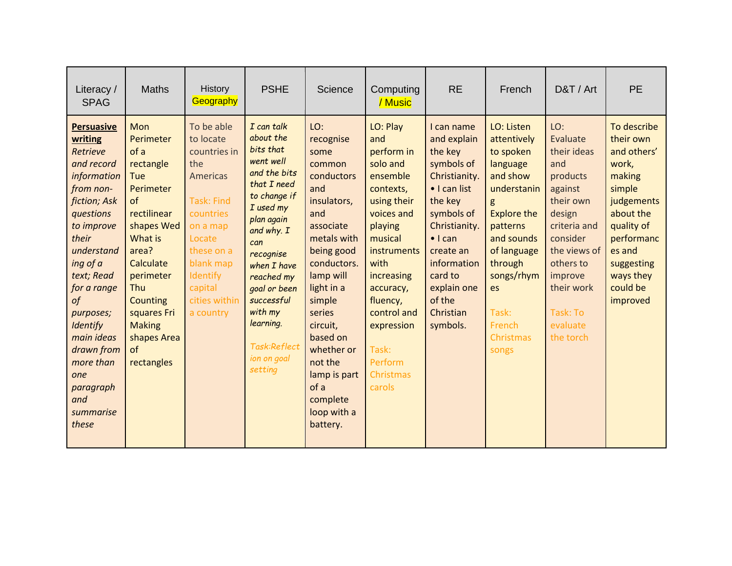| Literacy /<br><b>SPAG</b>                                                                                                                                                                                                                                                                                              | <b>Maths</b>                                                                                                                                                                                                                             | History<br><b>Geography</b>                                                                                                                                                                        | <b>PSHE</b>                                                                                                                                                                                                                                                                                | Science                                                                                                                                                                                                                                                                                               | Computing<br>/ Music                                                                                                                                                                                                                                               | <b>RE</b>                                                                                                                                                                                                                                         | French                                                                                                                                                                                                                    | D&T / Art                                                                                                                                                                                                  | <b>PE</b>                                                                                                                                                                                |
|------------------------------------------------------------------------------------------------------------------------------------------------------------------------------------------------------------------------------------------------------------------------------------------------------------------------|------------------------------------------------------------------------------------------------------------------------------------------------------------------------------------------------------------------------------------------|----------------------------------------------------------------------------------------------------------------------------------------------------------------------------------------------------|--------------------------------------------------------------------------------------------------------------------------------------------------------------------------------------------------------------------------------------------------------------------------------------------|-------------------------------------------------------------------------------------------------------------------------------------------------------------------------------------------------------------------------------------------------------------------------------------------------------|--------------------------------------------------------------------------------------------------------------------------------------------------------------------------------------------------------------------------------------------------------------------|---------------------------------------------------------------------------------------------------------------------------------------------------------------------------------------------------------------------------------------------------|---------------------------------------------------------------------------------------------------------------------------------------------------------------------------------------------------------------------------|------------------------------------------------------------------------------------------------------------------------------------------------------------------------------------------------------------|------------------------------------------------------------------------------------------------------------------------------------------------------------------------------------------|
| <b>Persuasive</b><br>writing<br>Retrieve<br>and record<br>information<br>from non-<br>fiction; Ask<br>questions<br>to improve<br>their<br>understand<br>ing of a<br>text; Read<br>for a range<br>of<br>purposes;<br>Identify<br>main ideas<br>drawn from<br>more than<br>one<br>paragraph<br>and<br>summarise<br>these | Mon<br>Perimeter<br>of a<br>rectangle<br>Tue<br>Perimeter<br>$\sigma$ f<br>rectilinear<br>shapes Wed<br>What is<br>area?<br>Calculate<br>perimeter<br>Thu<br>Counting<br>squares Fri<br><b>Making</b><br>shapes Area<br>of<br>rectangles | To be able<br>to locate<br>countries in<br>the<br>Americas<br><b>Task: Find</b><br>countries<br>on a map<br>Locate<br>these on a<br>blank map<br>Identify<br>capital<br>cities within<br>a country | I can talk<br>about the<br>bits that<br>went well<br>and the bits<br>that I need<br>to change if<br>I used my<br>plan again<br>and why. I<br>can<br>recognise<br>when I have<br>reached my<br>goal or been<br>successful<br>with my<br>learning.<br>Task:Reflect<br>ion on goal<br>setting | LO:<br>recognise<br>some<br>common<br>conductors<br>and<br>insulators,<br>and<br>associate<br>metals with<br>being good<br>conductors.<br>lamp will<br>light in a<br>simple<br>series<br>circuit,<br>based on<br>whether or<br>not the<br>lamp is part<br>of a<br>complete<br>loop with a<br>battery. | LO: Play<br>and<br>perform in<br>solo and<br>ensemble<br>contexts,<br>using their<br>voices and<br>playing<br>musical<br>instruments<br>with<br>increasing<br>accuracy,<br>fluency,<br>control and<br>expression<br>Task:<br>Perform<br><b>Christmas</b><br>carols | I can name<br>and explain<br>the key<br>symbols of<br>Christianity.<br>$\bullet$ I can list<br>the key<br>symbols of<br>Christianity.<br>$\bullet$ I can<br>create an<br>information<br>card to<br>explain one<br>of the<br>Christian<br>symbols. | LO: Listen<br>attentively<br>to spoken<br>language<br>and show<br>understanin<br>g<br><b>Explore the</b><br>patterns<br>and sounds<br>of language<br>through<br>songs/rhym<br>es<br>Task:<br>French<br>Christmas<br>songs | LO:<br>Evaluate<br>their ideas<br>and<br>products<br>against<br>their own<br>design<br>criteria and<br>consider<br>the views of<br>others to<br>improve<br>their work<br>Task: To<br>evaluate<br>the torch | To describe<br>their own<br>and others'<br>work,<br>making<br>simple<br>judgements<br>about the<br>quality of<br>performanc<br>es and<br>suggesting<br>ways they<br>could be<br>improved |